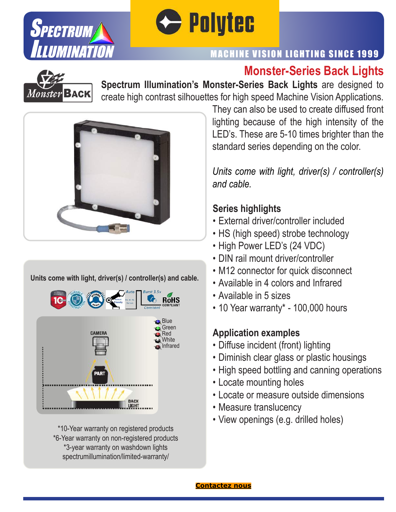



### MACHINE VISION LIGHTING SINCE 1999

# **Monster-Series Back Lights**



**Spectrum Illumination's Monster-Series Back Lights** are designed to create high contrast silhouettes for high speed Machine Vision Applications.



#### **Units come with light, driver(s) / controller(s) and cable.**



\*10-Year warranty on registered products \*6-Year warranty on non-registered products \*3-year warranty on washdown lights spectrumillumination/limited-warranty/

They can also be used to create diffused front lighting because of the high intensity of the LED's. These are 5-10 times brighter than the standard series depending on the color.

*Units come with light, driver(s) / controller(s) and cable.*

#### **Series highlights**

- External driver/controller included
- HS (high speed) strobe technology
- High Power LED's (24 VDC)
- DIN rail mount driver/controller
- M12 connector for quick disconnect
- Available in 4 colors and Infrared
- Available in 5 sizes
- 10 Year warranty\* 100,000 hours

#### **Application examples**

- Diffuse incident (front) lighting
- Diminish clear glass or plastic housings
- High speed bottling and canning operations
- Locate mounting holes
- Locate or measure outside dimensions
- Measure translucency
- View openings (e.g. drilled holes)

![](_page_0_Picture_29.jpeg)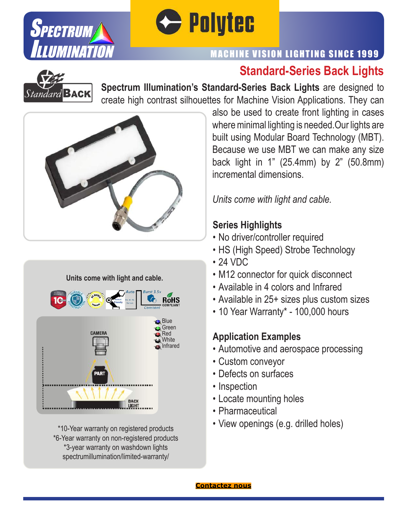![](_page_1_Picture_0.jpeg)

![](_page_1_Picture_1.jpeg)

### MACHINE VISION LIGHTING SINCE 1999

# **Standard-Series Back Lights**

![](_page_1_Picture_4.jpeg)

**Spectrum Illumination's Standard-Series Back Lights** are designed to create high contrast silhouettes for Machine Vision Applications. They can

![](_page_1_Picture_6.jpeg)

![](_page_1_Picture_7.jpeg)

\*10-Year warranty on registered products \*6-Year warranty on non-registered products \*3-year warranty on washdown lights spectrumillumination/limited-warranty/

also be used to create front lighting in cases where minimal lighting is needed.Our lights are built using Modular Board Technology (MBT). Because we use MBT we can make any size back light in 1" (25.4mm) by 2" (50.8mm) incremental dimensions.

*Units come with light and cable.*

### **Series Highlights**

- No driver/controller required
- HS (High Speed) Strobe Technology
- 24 VDC
- M12 connector for quick disconnect
- Available in 4 colors and Infrared
- Available in 25+ sizes plus custom sizes
- 10 Year Warranty\* 100,000 hours

# **Application Examples**

- Automotive and aerospace processing
- Custom conveyor
- Defects on surfaces
- Inspection
- Locate mounting holes
- Pharmaceutical
- View openings (e.g. drilled holes)

![](_page_1_Picture_27.jpeg)